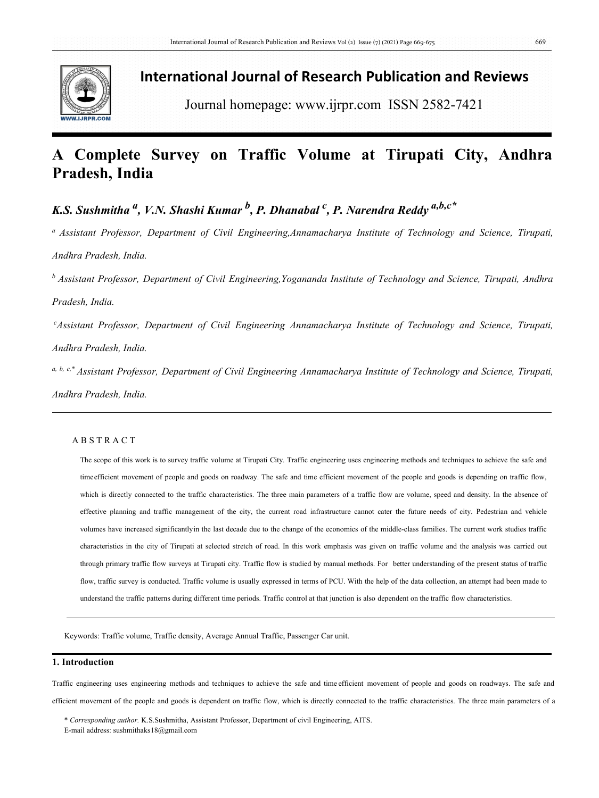

## **International Journal of Research Publication and Reviews**

Journal homepage: [www.ijrpr.com](http://www.ijrpr.com) ISSN 2582-7421

# **A Complete Survey on Traffic Volume at Tirupati City, Andhra Pradesh, India**

*K.S. Sushmitha a , V.N. Shashi Kumar <sup>b</sup> , P. Dhanabal <sup>c</sup> , P. Narendra Reddy a,b,c\**

*<sup>a</sup> Assistant Professor, Department of Civil Engineering,Annamacharya Institute of Technology and Science, Tirupati, Andhra Pradesh, India.*

*<sup>b</sup> Assistant Professor, Department of Civil Engineering,Yogananda Institute of Technology and Science, Tirupati, Andhra Pradesh, India.*

*<sup>c</sup>Assistant Professor, Department of Civil Engineering Annamacharya Institute of Technology and Science, Tirupati, Andhra Pradesh, India.*

a, b, c,\* Assistant Professor, Department of Civil Engineering Annamacharya Institute of Technology and Science, Tirupati, *Andhra Pradesh, India.*

### A B S T R A C T

The scope of this work is to survey traffic volume at Tirupati City. Traffic engineering uses engineering methods and techniques to achieve the safe and timeefficient movement of people and goods on roadway. The safe and time efficient movement of the people and goods is depending on traffic flow, which is directly connected to the traffic characteristics. The three main parameters of a traffic flow are volume, speed and density. In the absence of effective planning and traffic management of the city, the current road infrastructure cannot cater the future needs of city. Pedestrian and vehicle volumes have increased significantlyin the last decade due to the change of the economics of the middle-class families. The currentwork studies traffic characteristics in the city of Tirupati at selected stretch of road. In this work emphasis was given on traffic volume and the analysis was carried out through primary traffic flow surveys at Tirupati city. Traffic flow is studied by manual methods. For better understanding of the present status of traffic flow, traffic survey is conducted. Traffic volume is usually expressed in terms of PCU. With the help of the data collection, an attempt had been made to understand the traffic patterns during different time periods. Traffic controlat that junction is also dependent on the traffic flow characteristics.

Keywords: Traffic volume, Traffic density, Average Annual Traffic, Passenger Car unit.

## **1. Introduction**

Traffic engineering uses engineering methods and techniques to achieve the safe and time efficient movement of people and goods on roadways. The safe and efficient movement of the people and goods is dependent on traffic flow, which is directly connected to the traffic characteristics. The three main parameters of a

\* *Corresponding author.* K.S.Sushmitha, Assistant Professor, Department of civil Engineering, AITS. E-mail address: sushmithaks18@gmail.com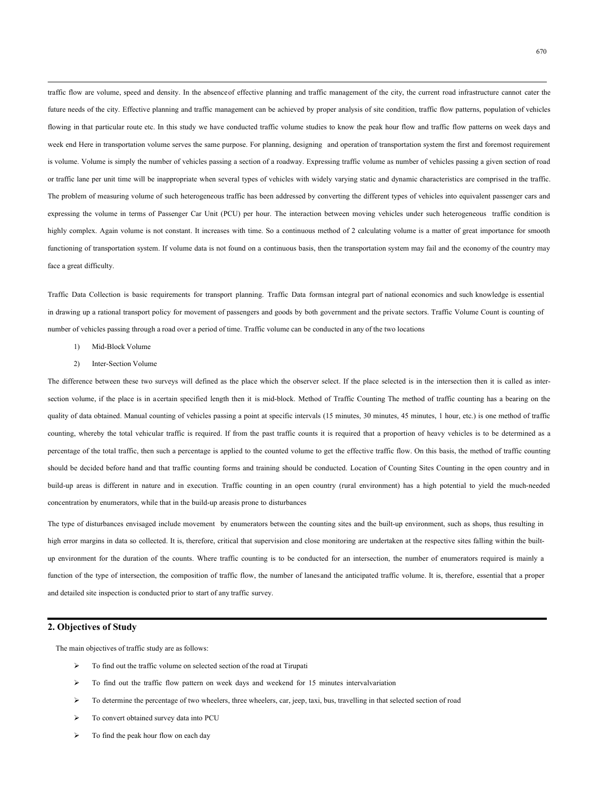traffic flow are volume, speed and density. In the absence of effective planning and traffic management of the city, the current road infrastructure cannot cater the future needs of the city. Effective planning and traffic management can be achieved by proper analysis of site condition, traffic flow patterns, population of vehicles flowing in that particular route etc. In this study we have conducted traffic volume studies to know the peak hour flow and traffic flow patterns on week days and week end Here in transportation volume serves the same purpose. For planning, designing and operation of transportation system the first and foremost requirement is volume. Volume is simply the number of vehicles passing a section of a roadway. Expressing traffic volume as number of vehicles passing a given section of road or traffic lane per unit time will be inappropriate when several types of vehicles with widely varying static and dynamic characteristics are comprised in the traffic. The problem of measuring volume of such heterogeneous traffic has been addressed by converting the different types of vehicles into equivalent passenger cars and expressing the volume in terms of Passenger Car Unit (PCU) per hour. The interaction between moving vehicles under such heterogeneous traffic condition is highly complex. Again volume is not constant. It increases with time. So a continuous method of 2 calculating volume is a matter of great importance for smooth functioning of transportation system. If volume data is not found on a continuous basis, then the transportation system may fail and the economy of the country may face a great difficulty.

Traffic Data Collection is basic requirements for transport planning. Traffic Data formsan integral part of national economics and such knowledge is essential in drawing up a rational transport policy for movement of passengers and goods by both government and the private sectors. Traffic Volume Count is counting of number of vehicles passing through a road over a period of time. Traffic volume can be conducted in any of the two locations

- 1) Mid-Block Volume
- 2) Inter-Section Volume

The difference between these two surveys will defined as the place which the observer select. If the place selected is in the intersection then it is called as intersection volume, if the place is in acertain specified length then it is mid-block. Method of Traffic Counting The method of traffic counting has a bearing on the quality of data obtained. Manual counting of vehicles passing a point atspecific intervals (15 minutes, 30 minutes, 45 minutes, 1 hour, etc.) is one method of traffic counting, whereby the total vehicular traffic is required. If from the past traffic counts it is required that a proportion of heavy vehicles is to be determined as a percentage of the total traffic, then such a percentage is applied to the counted volume to get the effective traffic flow. On this basis, the method of traffic counting should be decided before hand and that traffic counting forms and training should be conducted. Location of Counting Sites Counting in the open country and in build-up areas is different in nature and in execution. Traffic counting in an open country (rural environment) has a high potential to yield the much-needed concentration by enumerators, while that in the build-up areasis prone to disturbances

The type of disturbances envisaged include movement by enumerators between the counting sites and the built-up environment, such as shops, thus resulting in high error margins in data so collected. It is, therefore, critical that supervision and close monitoring are undertaken at the respective sites falling within the builtup environment for the duration of the counts. Where traffic counting is to be conducted for an intersection, the number of enumerators required is mainly a function of the type of intersection, the composition of traffic flow, the number of lanes and the anticipated traffic volume. It is, therefore, essential that a proper and detailed site inspection is conducted prior to start of any traffic survey.

## **2. Objectives ofStudy**

The main objectives of traffic study are as follows:

- $\triangleright$  To find out the traffic volume on selected section of the road at Tirupati
- $\triangleright$  To find out the traffic flow pattern on week days and weekend for 15 minutes intervalvariation
- $\triangleright$  To determine the percentage of two wheelers, three wheelers, car, jeep, taxi, bus, travelling in that selected section of road
- $\triangleright$  To convert obtained survey data into PCU
- $\triangleright$  To find the peak hour flow on each day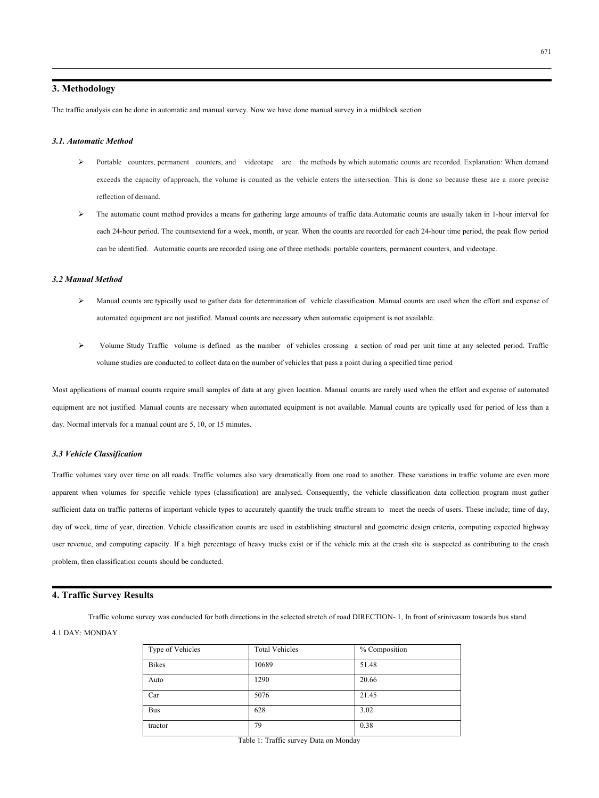671

## **3. Methodology**

The traffic analysis can be done in automatic and manual survey. Now we have done manual survey in a midblock section

#### *3.1. Automatic Method*

- Portable counters, permanent counters, and videotape are the methods by which automatic counts are recorded. Explanation: When demand exceeds the capacity of approach, the volume iscounted as the vehicle enters the intersection. This is done so because these are a more precise reflection of demand.
- The automatic count method provides a means for gathering large amounts of traffic data.Automatic counts are usually taken in 1-hour interval for each 24-hour period. The countsextend for a week, month, or year. When the counts are recorded for each 24-hour time period, the peak flow period can be identified. Automatic counts are recorded using one of three methods: portable counters, permanent counters, and videotape.

#### *3.2 Manual Method*

- Manual counts are typically used to gather data for determination of vehicle classification. Manual counts are used when the effort and expense of automated equipment are not justified. Manual counts are necessary when automatic equipment is not available.
- Volume Study Traffic volume is defined as the number of vehicles crossing a section of road per unit time at any selected period. Traffic volume studies are conducted to collect data on the number of vehicles that pass a point during a specified time period

Most applications of manual counts require small samples of data at any given location. Manual counts are rarely used when the effort and expense of automated equipment are not justified. Manual counts are necessary when automated equipment is not available. Manual counts are typically used for period of less than a day. Normal intervals for a manual count are 5, 10, or 15 minutes.

#### *3.3 Vehicle Classification*

Traffic volumes vary over time on all roads. Traffic volumes also vary dramatically from one road to another. These variations in traffic volume are even more apparent when volumes for specific vehicle types (classification) are analysed. Consequently, the vehicle classification data collection program must gather sufficient data on traffic patterns of important vehicle types to accurately quantify the truck traffic stream to meet the needs of users. These include; time of day, day of week, time of year, direction. Vehicle classification counts are used in establishing structural and geometric design criteria, computing expected highway user revenue, and computing capacity. If a high percentage of heavy trucks exist or if the vehicle mix at the crash site issuspected as contributing to the crash problem, then classification counts should be conducted.

#### **4. Traffic Survey Results**

Traffic volume survey was conducted for both directions in the selected stretch of road DIRECTION- 1, In front of srinivasam towards bus stand 4.1 DAY: MONDAY

| Type of Vehicles | <b>Total Vehicles</b> | % Composition |
|------------------|-----------------------|---------------|
| <b>Bikes</b>     | 10689                 | 51.48         |
| Auto             | 1290                  | 20.66         |
| Car              | 5076                  | 21.45         |
| <b>Bus</b>       | 628                   | 3.02          |
| tractor          | 79                    | 0.38          |

Table 1: Traffic survey Data on Monday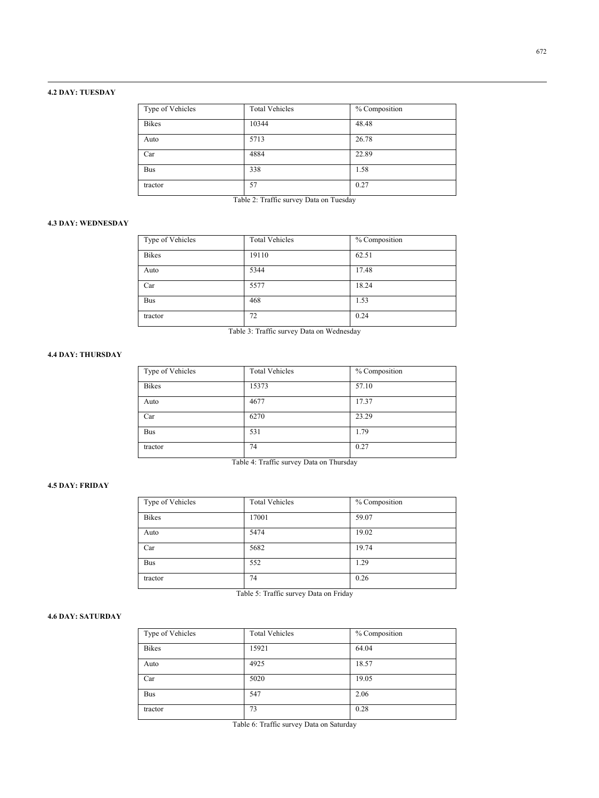## **4.2 DAY: TUESDAY**

| Type of Vehicles | <b>Total Vehicles</b> | % Composition |  |
|------------------|-----------------------|---------------|--|
| <b>Bikes</b>     | 10344                 | 48.48         |  |
| Auto             | 5713                  | 26.78         |  |
| Car              | 4884                  | 22.89         |  |
| <b>Bus</b>       | 338                   | 1.58          |  |
| tractor          | 57                    | 0.27          |  |

Table 2: Traffic survey Data on Tuesday

### **4.3 DAY: WEDNESDAY**

| Type of Vehicles | <b>Total Vehicles</b> | % Composition |  |
|------------------|-----------------------|---------------|--|
| <b>Bikes</b>     | 19110                 | 62.51         |  |
| Auto             | 5344                  | 17.48         |  |
| Car              | 5577                  | 18.24         |  |
| <b>Bus</b>       | 468                   | 1.53          |  |
| tractor          | 72                    | 0.24          |  |

Table 3: Traffic survey Data on Wednesday

## **4.4 DAY: THURSDAY**

| Type of Vehicles | <b>Total Vehicles</b> | % Composition |
|------------------|-----------------------|---------------|
| <b>Bikes</b>     | 15373                 | 57.10         |
| Auto             | 4677                  | 17.37         |
| Car              | 6270                  | 23.29         |
| <b>Bus</b>       | 531                   | 1.79          |
| tractor          | 74                    | 0.27          |

Table 4: Traffic survey Data on Thursday

## **4.5 DAY: FRIDAY**

| Type of Vehicles | <b>Total Vehicles</b> | % Composition |  |
|------------------|-----------------------|---------------|--|
| <b>Bikes</b>     | 17001                 | 59.07         |  |
| Auto             | 5474                  | 19.02         |  |
| Car              | 5682                  | 19.74         |  |
| <b>Bus</b>       | 552                   | 1.29          |  |
| tractor          | 74                    | 0.26          |  |

Table 5: Traffic survey Data on Friday

## **4.6 DAY: SATURDAY**

| Type of Vehicles | <b>Total Vehicles</b> | % Composition |
|------------------|-----------------------|---------------|
| <b>Bikes</b>     | 15921                 | 64.04         |
| Auto             | 4925                  | 18.57         |
| Car              | 5020                  | 19.05         |
| <b>Bus</b>       | 547                   | 2.06          |
| tractor          | 73                    | 0.28          |

Table 6: Traffic survey Data on Saturday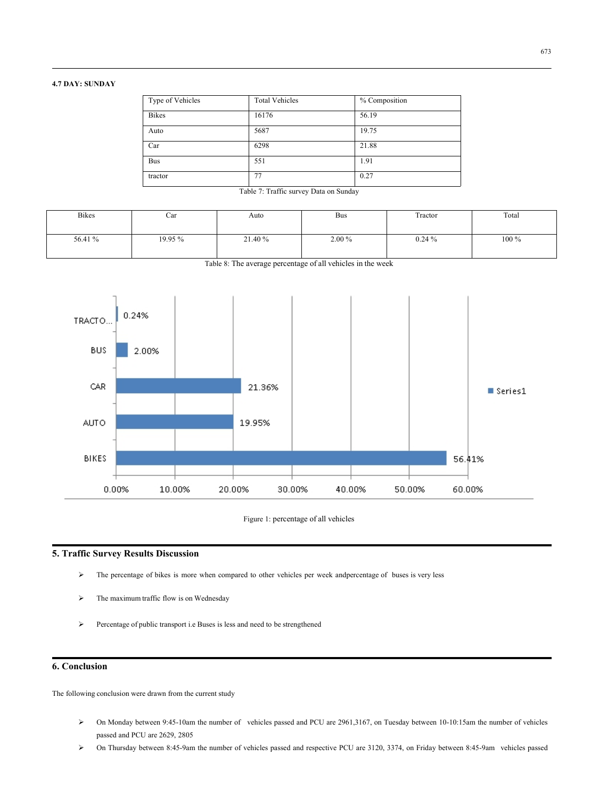## **4.7 DAY: SUNDAY**

| Type of Vehicles | <b>Total Vehicles</b> | % Composition |
|------------------|-----------------------|---------------|
| <b>Bikes</b>     | 16176                 | 56.19         |
| Auto             | 5687                  | 19.75         |
| Car              | 6298                  | 21.88         |
| <b>Bus</b>       | 551                   | 1.91          |
| tractor          | 77                    | 0.27          |

Table 7: Traffic survey Data on Sunday

| Bikes   | ∪ar     | Auto    | Bus    | Tractor   | Total   |
|---------|---------|---------|--------|-----------|---------|
| 56.41 % | 19.95 % | 21.40 % | 2.00 % | $0.24 \%$ | $100\%$ |

Table 8: The average percentage of all vehicles in the week



Figure 1: percentage of all vehicles

## **5. Traffic Survey Results Discussion**

- The percentage of bikes is more when compared to other vehicles per week andpercentage of buses is very less
- The maximum traffic flow is on Wednesday
- $\triangleright$  Percentage of public transport i.e Buses is less and need to be strengthened

## **6. Conclusion**

The following conclusion were drawn from the current study

- On Monday between 9:45-10am the number of vehicles passed and PCU are 2961,3167, on Tuesday between 10-10:15am the number of vehicles passed and PCU are 2629, 2805
- On Thursday between 8:45-9am the number of vehicles passed and respective PCU are 3120, 3374, on Friday between 8:45-9am vehicles passed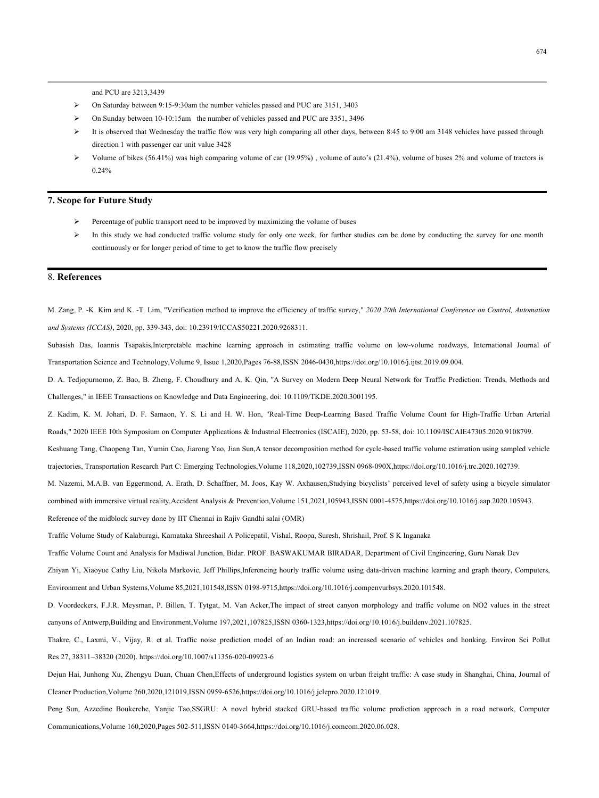and PCU are 3213,3439

- On Saturday between 9:15-9:30am the number vehicles passed and PUC are 3151, 3403
- On Sunday between 10-10:15am the number of vehicles passed and PUC are 3351, 3496
- $\triangleright$  It is observed that Wednesday the traffic flow was very high comparing all other days, between 8:45 to 9:00 am 3148 vehicles have passed through direction 1 with passenger car unit value 3428
- $\triangleright$  Volume of bikes (56.41%) was high comparing volume of car (19.95%), volume of auto's (21.4%), volume of buses 2% and volume of tractors is 0.24%

#### **7. Scope for Future Study**

- $\triangleright$  Percentage of public transport need to be improved by maximizing the volume of buses
- $\triangleright$  In this study we had conducted traffic volume study for only one week, for further studies can be done by conducting the survey for one month continuously or for longer period of time to get to know the traffic flow precisely

## 8. **References**

M. Zang, P. -K. Kim and K. -T. Lim, "Verification method to improve the efficiency of traffic survey," *2020 20th International Conference on Control, Automation and Systems (ICCAS)*, 2020, pp. 339-343, doi: 10.23919/ICCAS50221.2020.9268311.

Subasish Das, Ioannis Tsapakis,Interpretable machine learning approach in estimating traffic volume on low-volume roadways, International Journal of Transportation Science and Technology,Volume 9, Issue 1,2020,Pages 76-88,ISSN 2046-0430,https://doi.org/10.1016/j.ijtst.2019.09.004.

D. A. Tedjopurnomo, Z. Bao, B. Zheng, F. Choudhury and A. K. Qin,"A Survey on Modern Deep Neural Network for Traffic Prediction: Trends, Methods and Challenges," in IEEE Transactions on Knowledge and Data Engineering, doi: 10.1109/TKDE.2020.3001195.

Z. Kadim, K. M. Johari, D. F. Samaon, Y. S. Li and H. W. Hon, "Real-Time Deep-Learning Based Traffic Volume Count for High-Traffic Urban Arterial

Roads," 2020 IEEE 10thSymposium on Computer Applications & Industrial Electronics (ISCAIE), 2020, pp. 53-58, doi: 10.1109/ISCAIE47305.2020.9108799.

Keshuang Tang, Chaopeng Tan, Yumin Cao, Jiarong Yao, Jian Sun,A tensor decomposition method for cycle-based traffic volume estimation using sampled vehicle trajectories, Transportation Research Part C: Emerging Technologies,Volume 118,2020,102739,ISSN 0968-090X,https://doi.org/10.1016/j.trc.2020.102739.

M. Nazemi, M.A.B. van Eggermond, A. Erath, D. Schaffner, M. Joos, Kay W. Axhausen,Studying bicyclists' perceived level of safety using a bicycle simulator

combined with immersive virtual reality,Accident Analysis & Prevention,Volume 151,2021,105943,ISSN 0001-4575,https://doi.org/10.1016/j.aap.2020.105943.

Reference of the midblock survey done by IIT Chennai in Rajiv Gandhi salai (OMR)

Traffic Volume Study of Kalaburagi, Karnataka Shreeshail A Policepatil, Vishal, Roopa, Suresh, Shrishail, Prof. S K Inganaka

Traffic Volume Count and Analysis for Madiwal Junction, Bidar. PROF. BASWAKUMAR BIRADAR, Department of Civil Engineering, Guru Nanak Dev

Zhiyan Yi, Xiaoyue Cathy Liu, Nikola Markovic, Jeff Phillips,Inferencing hourly traffic volume using data-driven machine learning and graph theory, Computers, Environment and Urban Systems,Volume 85,2021,101548,ISSN 0198-9715,https://doi.org/10.1016/j.compenvurbsys.2020.101548.

D. Voordeckers, F.J.R. Meysman, P. Billen, T. Tytgat, M. Van Acker, The impact of street canyon morphology and traffic volume on NO2 values in the street canyons of Antwerp, Building and Environment, Volume 197, 2021, 1078

Thakre, C., Laxmi, V., Vijay, R. et al. Traffic noise prediction model of an Indian road: an increased scenario of vehicles and honking. Environ Sci Pollut Res 27, 38311–38320 (2020). https://doi.org/10.1007/s11356-020-09923-6

Dejun Hai, Junhong Xu, Zhengyu Duan, Chuan Chen,Effects of underground logistics system on urban freight traffic: A case study in Shanghai, China, Journal of Cleaner Production,Volume 260,2020,121019,ISSN 0959-6526,https://doi.org/10.1016/j.jclepro.2020.121019.

Peng Sun, Azzedine Boukerche, Yanjie Tao,SSGRU: A novel hybrid stacked GRU-based traffic volume prediction approach in a road network, Computer Communications,Volume 160,2020,Pages 502-511,ISSN 0140-3664,https://doi.org/10.1016/j.comcom.2020.06.028.